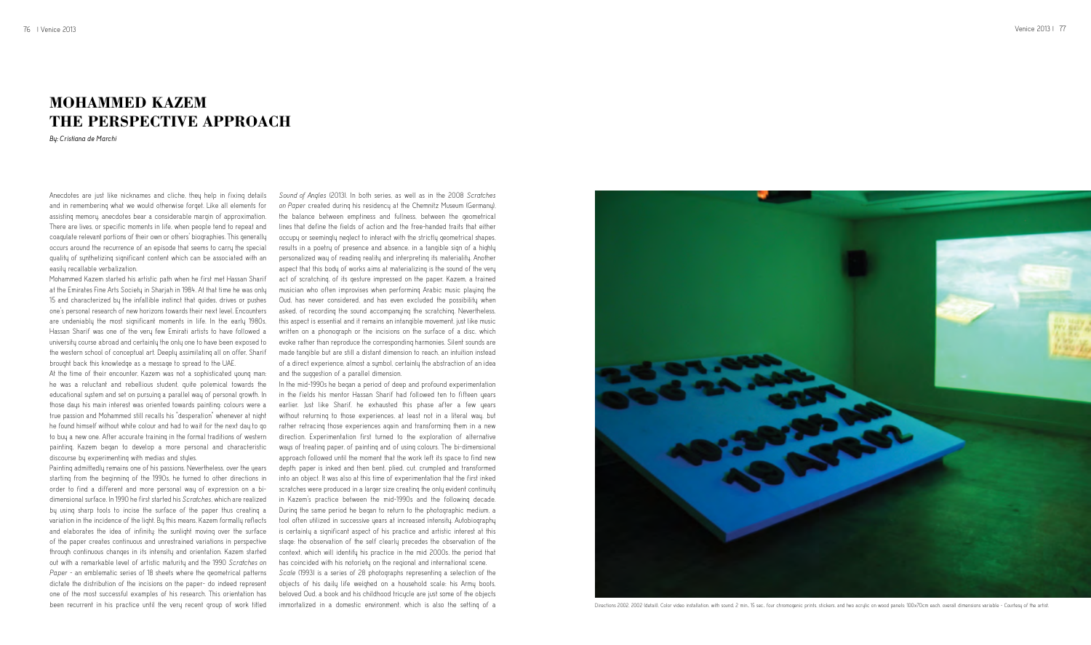immortalized in a domestic environment, which is also the setting of a becomesclub of a Directions 2002, 2002 Idetaill, Color video installation, with sound, 2 min, 15 sec. four chromogenic prints, stickers, and two acruli

## **Mohammed Kazem The perspective approach**

*By: Cristiana de Marchi* 

Anecdotes are just like nicknames and cliche, they help in fixing details and in remembering what we would otherwise forget. Like all elements for assisting memory, anecdotes bear a considerable margin of approximation. There are lives, or specific moments in life, when people tend to repeat and coagulate relevant portions of their own or others' biographies. This generally occurs around the recurrence of an episode that seems to carry the special quality of synthetizing significant content which can be associated with an easily recallable verbalization.

At the time of their encounter, Kazem was not a sophisticated young man: he was a reluctant and rebellious student, quite polemical towards the educational system and set on pursuing a parallel way of personal growth. In those days his main interest was oriented towards painting: colours were a true passion and Mohammed still recalls his "desperation" whenever at night he found himself without white colour and had to wait for the next day to go to buy a new one. After accurate training in the formal traditions of western painting, Kazem began to develop a more personal and characteristic discourse by experimenting with medias and styles.

Mohammed Kazem started his artistic path when he first met Hassan Sharif at the Emirates Fine Arts Society in Sharjah in 1984. At that time he was only 15 and characterized by the infallible instinct that guides, drives or pushes one's personal research of new horizons towards their next level. Encounters are undeniably the most significant moments in life. In the early 1980s, Hassan Sharif was one of the very few Emirati artists to have followed a university course abroad and certainly the only one to have been exposed to the western school of conceptual art. Deeply assimilating all on offer, Sharif brought back this knowledge as a message to spread to the UAE.

Painting admittedly remains one of his passions. Nevertheless, over the years starting from the beginning of the 1990s, he turned to other directions in order to find a different and more personal way of expression on a bidimensional surface. In 1990 he first started his *Scratches*, which are realized by using sharp tools to incise the surface of the paper thus creating a variation in the incidence of the light. By this means, Kazem formally reflects and elaborates the idea of infinity: the sunlight moving over the surface of the paper creates continuous and unrestrained variations in perspective through continuous changes in its intensity and orientation. Kazem started out with a remarkable level of artistic maturity and the 1990 *Scratches on Paper* - an emblematic series of 18 sheets where the geometrical patterns dictate the distribution of the incisions on the paper- do indeed represent one of the most successful examples of his research. This orientation has been recurrent in his practice until the very recent group of work titled

*Sound of Angles* (2013). In both series, as well as in the 2008 *Scratches on Paper* created during his residency at the Chemnitz Museum (Germany), the balance between emptiness and fullness, between the geometrical lines that define the fields of action and the free-handed traits that either occupy or seemingly neglect to interact with the strictly geometrical shapes, results in a poetry of presence and absence, in a tangible sign of a highly personalized way of reading reality and interpreting its materiality. Another aspect that this body of works aims at materializing is the sound of the very act of scratching, of its gesture impressed on the paper. Kazem, a trained musician who often improvises when performing Arabic music playing the Oud, has never considered, and has even excluded the possibility when asked, of recording the sound accompanying the scratching. Nevertheless, this aspect is essential and it remains an intangible movement, just like music written on a phonograph or the incisions on the surface of a disc, which evoke rather than reproduce the corresponding harmonies. Silent sounds are made tangible but are still a distant dimension to reach, an intuition instead of a direct experience, almost a symbol, certainly the abstraction of an idea and the suggestion of a parallel dimension.

In the mid-1990s he began a period of deep and profound experimentation in the fields his mentor Hassan Sharif had followed ten to fifteen years earlier. Just like Sharif, he exhausted this phase after a few years without returning to those experiences, at least not in a literal way, but rather retracing those experiences again and transforming them in a new direction. Experimentation first turned to the exploration of alternative ways of treating paper, of painting and of using colours. The bi-dimensional approach followed until the moment that the work left its space to find new depth: paper is inked and then bent, plied, cut, crumpled and transformed into an object. It was also at this time of experimentation that the first inked scratches were produced in a larger size creating the only evident continuity in Kazem's practice between the mid-1990s and the following decade. During the same period he began to return to the photographic medium, a tool often utilized in successive years at increased intensity. Autobiography is certainly a significant aspect of his practice and artistic interest at this stage: the observation of the self clearly precedes the observation of the context, which will identify his practice in the mid 2000s, the period that has coincided with his notoriety on the regional and international scene. *Scale* (1993) is a series of 28 photographs representing a selection of the objects of his daily life weighed on a household scale: his Army boots, beloved Oud, a book and his childhood tricycle are just some of the objects

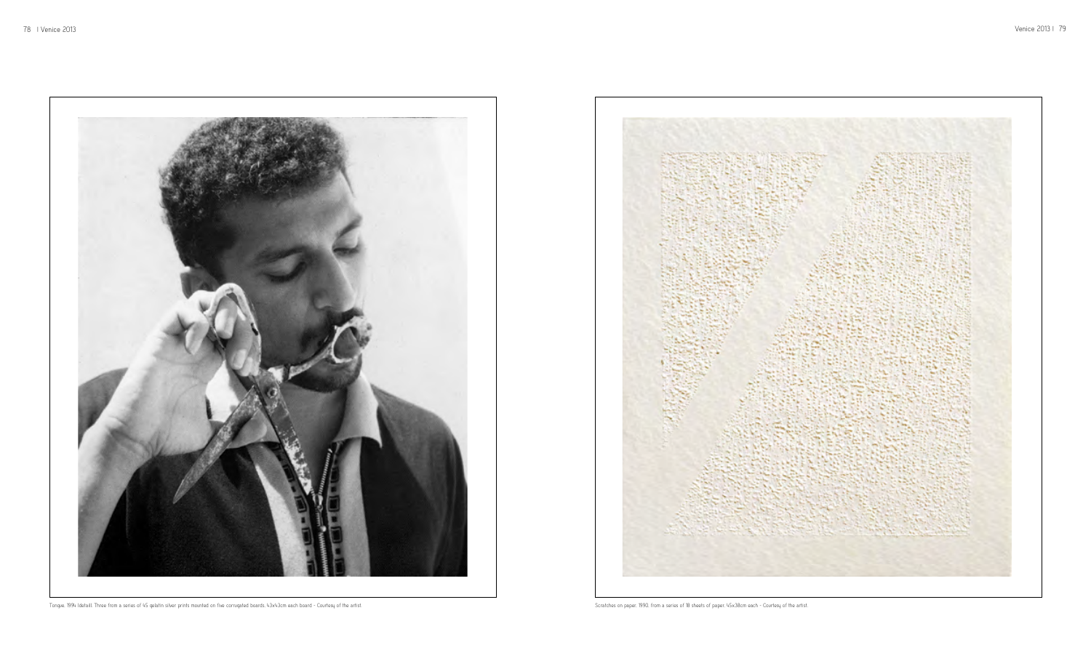

Tongue, 1994 (detail). Three from a series of 45 gelatin silver prints mounted on five corrugated boards, 43x43cm each board - Courtesy of the artist.

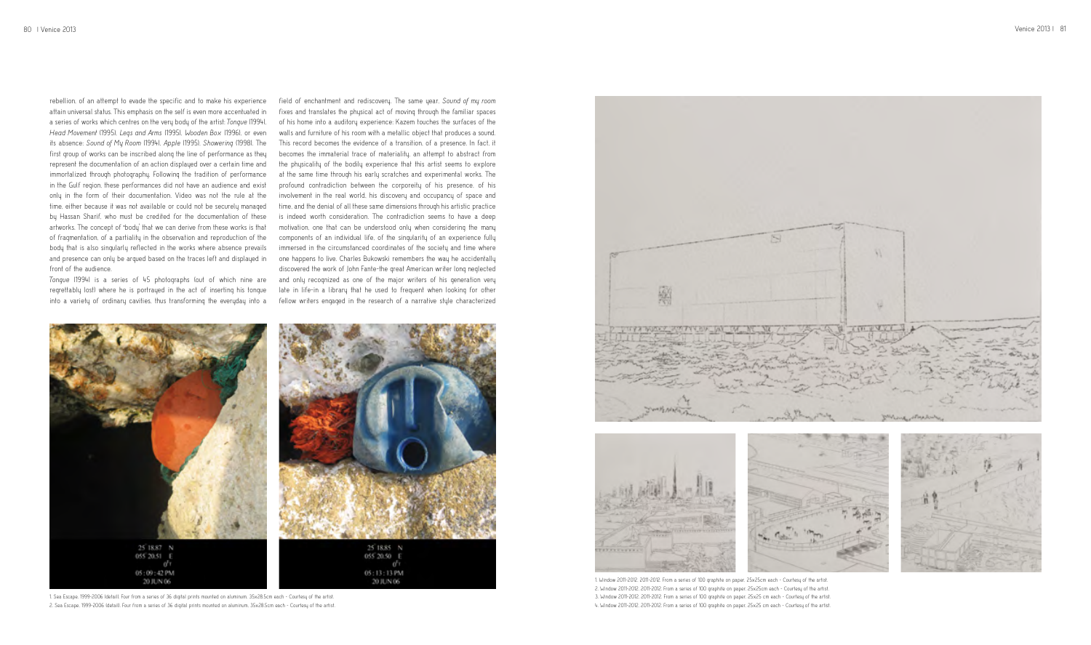

1. Sea Escape, 1999-2006 (detail). Four from a series of 36 digital prints mounted on aluminum, 35x28.5cm each - Courtesy of the artist. 2. Sea Escape, 1999-2006 (detail). Four from a series of 36 digital prints mounted on aluminum, 35x28.5cm each - Courtesy of the artist.





1. Window 2011-2012, 2011-2012. From a series of 100 graphite on paper, 25x25cm each - Courtesy of the artist. 2. Window 2011-2012, 2011-2012. From a series of 100 graphite on paper, 25x25cm each - Courtesy of the artist. 3. Window 2011-2012, 2011-2012. From a series of 100 graphite on paper, 25x25 cm each - Courtesy of the artist. 4. Window 2011-2012, 2011-2012. From a series of 100 graphite on paper, 25x25 cm each - Courtesy of the artist.





rebellion, of an attempt to evade the specific and to make his experience attain universal status. This emphasis on the self is even more accentuated in a series of works which centres on the very body of the artist: *Tongue* (1994), *Head Movement* (1995), *Legs and Arms* (1995), *Wooden Box* (1996), or even its absence: *Sound of My Room* (1994), *Apple* (1995), *Showering* (1998). The first group of works can be inscribed along the line of performance as they represent the documentation of an action displayed over a certain time and immortalized through photography. Following the tradition of performance in the Gulf region, these performances did not have an audience and exist only in the form of their documentation. Video was not the rule at the time, either because it was not available or could not be securely managed by Hassan Sharif, who must be credited for the documentation of these artworks. The concept of 'body' that we can derive from these works is that of fragmentation, of a partiality in the observation and reproduction of the body that is also singularly reflected in the works where absence prevails and presence can only be argued based on the traces left and displayed in front of the audience.

regrettably lost) where he is portrayed in the act of inserting his tongue into a variety of ordinary cavities, thus transforming the everyday into a

*Tongue* (1994) is a series of 45 photographs (out of which nine are and only recognized as one of the major writers of his generation very field of enchantment and rediscovery. The same year, *Sound of my room* fixes and translates the physical act of moving through the familiar spaces of his home into a auditory experience: Kazem touches the surfaces of the walls and furniture of his room with a metallic object that produces a sound. This record becomes the evidence of a transition, of a presence. In fact, it becomes the immaterial trace of materiality, an attempt to abstract from the physicality of the bodily experience that this artist seems to explore at the same time through his early scratches and experimental works. The profound contradiction between the corporeity of his presence, of his involvement in the real world, his discovery and occupancy of space and time, and the denial of all these same dimensions through his artistic practice is indeed worth consideration. The contradiction seems to have a deep motivation, one that can be understood only when considering the many components of an individual life, of the singularity of an experience fully immersed in the circumstanced coordinates of the society and time where one happens to live. Charles Bukowski remembers the way he accidentally discovered the work of John Fante-the great American writer long neglected late in life-in a library that he used to frequent when looking for other fellow writers engaged in the research of a narrative style characterized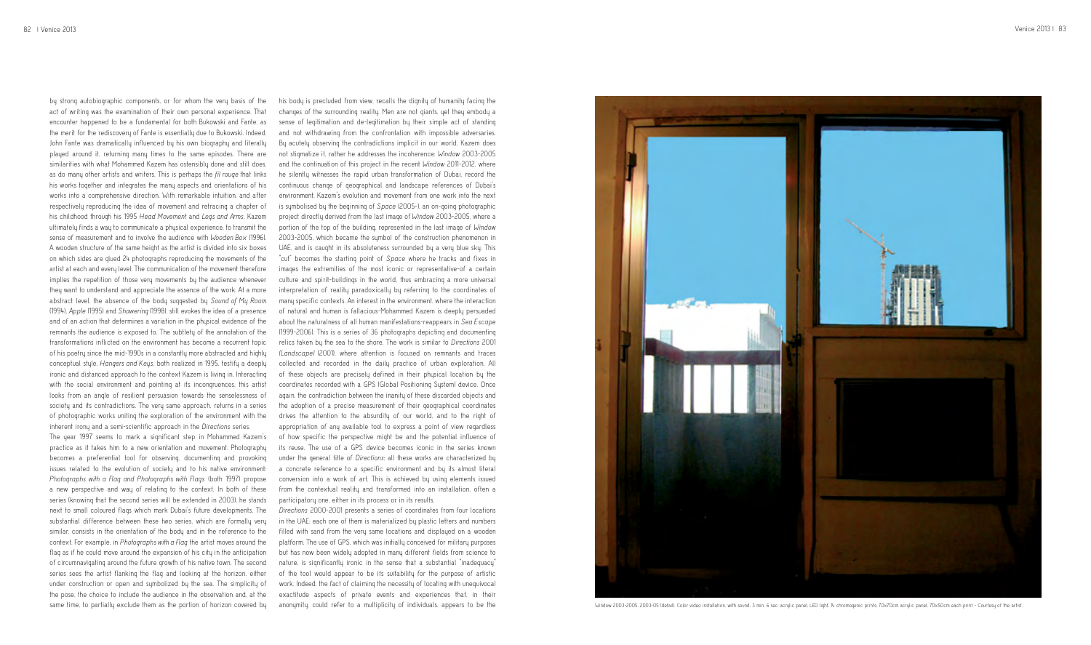by strong autobiographic components, or for whom the very basis of the act of writing was the examination of their own personal experience. That encounter happened to be a fundamental for both Bukowski and Fante, as the merit for the rediscovery of Fante is essentially due to Bukowski. Indeed, John Fante was dramatically influenced by his own biography and literally played around it, returning many times to the same episodes. There are similarities with what Mohammed Kazem has ostensibly done and still does, as do many other artists and writers. This is perhaps the *fil rouge* that links his works together and integrates the many aspects and orientations of his works into a comprehensive direction. With remarkable intuition, and after respectively reproducing the idea of movement and retracing a chapter of his childhood through his 1995 *Head Movement* and *Legs and Arms*, Kazem ultimately finds a way to communicate a physical experience, to transmit the sense of measurement and to involve the audience with *Wooden Box* (1996). A wooden structure of the same height as the artist is divided into six boxes on which sides are glued 24 photographs reproducing the movements of the artist at each and every level. The communication of the movement therefore implies the repetition of those very movements by the audience whenever they want to understand and appreciate the essence of the work. At a more abstract level, the absence of the body suggested by *Sound of My Room* (1994), *Apple* (1995) and *Showering* (1998), still evokes the idea of a presence and of an action that determines a variation in the physical evidence of the remnants the audience is exposed to. The subtletu of the annotation of the transformations inflicted on the environment has become a recurrent topic of his poetry since the mid-1990s in a constantly more abstracted and highly conceptual style. *Hangers and Keys*, both realized in 1995, testify a deeply ironic and distanced approach to the context Kazem is living in. Interacting with the social environment and pointing at its incongruences, this artist looks from an angle of resilient persuasion towards the senselessness of society and its contradictions. The very same approach, returns in a series of photographic works uniting the exploration of the environment with the inherent irony and a semi-scientific approach in the *Directions* series.

The year 1997 seems to mark a significant step in Mohammed Kazem's practice as it takes him to a new orientation and movement. Photography becomes a preferential tool for observing, documenting and provoking issues related to the evolution of society and to his native environment: *Photographs with a Flag and Photographs with Flags* (both 1997) propose a new perspective and way of relating to the context. In both of these series (knowing that the second series will be extended in 2003), he stands next to small coloured flags which mark Dubai's future developments. The substantial difference between these two series, which are formally very similar, consists in the orientation of the body and in the reference to the context. For example, in *Photographs with a Flag* the artist moves around the flag as if he could move around the expansion of his city in the anticipation of circumnavigating around the future growth of his native town. The second series sees the artist flanking the flag and looking at the horizon, either under construction or open and symbolized by the sea. The simplicity of the pose, the choice to include the audience in the observation and, at the same time, to partially exclude them as the portion of horizon covered by his body is precluded from view, recalls the dignity of humanity facing the changes of the surrounding reality. Men are not giants, yet they embody a sense of legitimation and de-legitimation by their simple act of standing and not withdrawing from the confrontation with impossible adversaries. By acutely observing the contradictions implicit in our world, Kazem does not stigmatize it, rather he addresses the incoherence: *Window* 2003-2005 and the continuation of this project in the recent *Window* 2011-2012, where he silently witnesses the rapid urban transformation of Dubai, record the continuous change of geographical and landscape references of Dubai's environment. Kazem's evolution and movement from one work into the next is symbolised by the beginning of *Space* (2005-), an on-going photographic project directly derived from the last image of *Window* 2003-2005, where a portion of the top of the building, represented in the last image of *Window* 2003-2005, which became the symbol of the construction phenomenon in UAE, and is caught in its absoluteness surrounded by a very blue sky. This "cut" becomes the starting point of *Space* where he tracks and fixes in images the extremities of the most iconic or representative-of a certain culture and spirit-buildings in the world, thus embracing a more universal interpretation of reality paradoxically by referring to the coordinates of many specific contexts. An interest in the environment, where the interaction of natural and human is fallacious-Mohammed Kazem is deeply persuaded about the naturalness of all human manifestations-reappears in *Sea Escape* (1999-2006). This is a series of 36 photographs depicting and documenting relics taken by the sea to the shore. The work is similar to *Directions* 2001 *(Landscape)* (2001), where attention is focused on remnants and traces collected and recorded in the daily practice of urban exploration. All of these objects are precisely defined in their physical location by the coordinates recorded with a GPS (Global Positioning System) device. Once again, the contradiction between the inanity of these discarded objects and the adoption of a precise measurement of their geographical coordinates drives the attention to the absurdity of our world, and to the right of appropriation of any available tool to express a point of view regardless of how specific the perspective might be and the potential influence of its reuse. The use of a GPS device becomes iconic in the series known under the general title of *Directions:* all these works are characterized by a concrete reference to a specific environment and by its almost literal conversion into a work of art. This is achieved by using elements issued from the contextual reality and transformed into an installation, often a participatory one, either in its process or in its results.

*Directions* 2000-2001 presents a series of coordinates from four locations in the UAE: each one of them is materialized by plastic letters and numbers filled with sand from the very same locations and displayed on a wooden platform. The use of GPS, which was initially conceived for military purposes but has now been widely adopted in many different fields from science to nature, is significantly ironic in the sense that a substantial "inadequacy" of the tool would appear to be its suitability for the purpose of artistic work. Indeed, the fact of claiming the necessity of locating with unequivocal exactitude aspects of private events and experiences that, in their



anonymity, could refer to a multiplicity of individuals, appears to be the variable to the Window 2003-2005, 2003-05 (detaill. Color video installation, with sound. 3 min. 6 sec. acrylic panel. LED light. 14 chromogenic pr